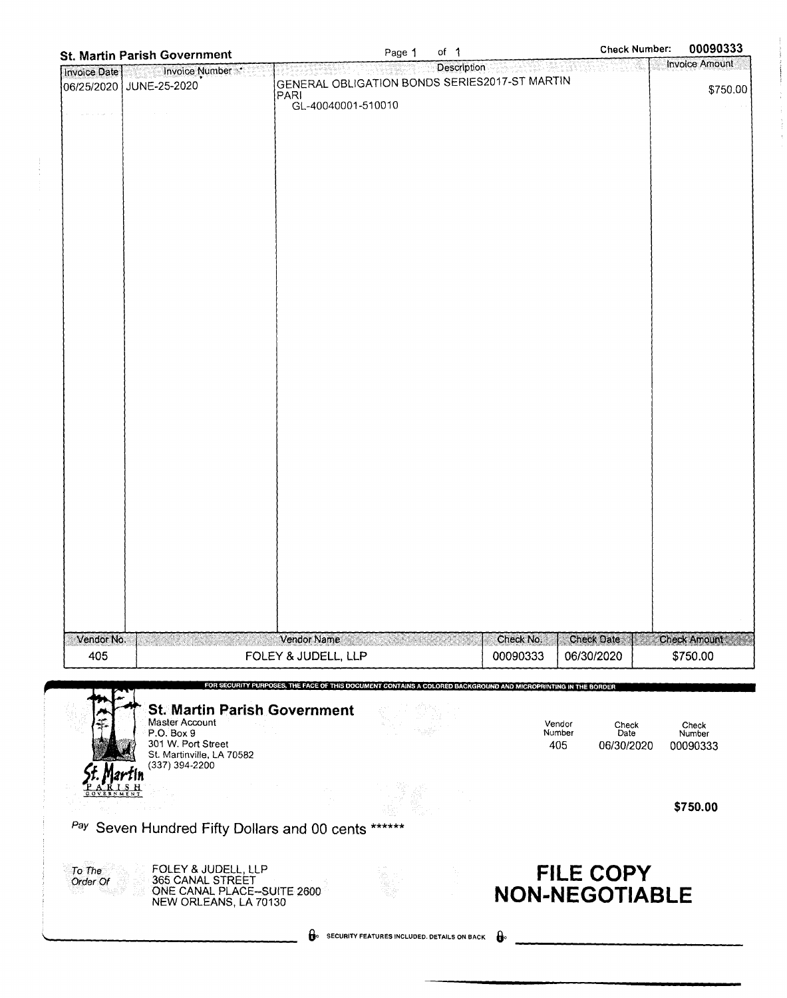| <b>St. Martin Parish Government</b>                 |                                               | Page 1 | of $\uparrow$                               |                                                                                                                | <b>Check Number:</b> | 00090333              |
|-----------------------------------------------------|-----------------------------------------------|--------|---------------------------------------------|----------------------------------------------------------------------------------------------------------------|----------------------|-----------------------|
| Invoice Number<br>Invoice Date                      |                                               |        | Description                                 |                                                                                                                |                      | <b>Invoice Amount</b> |
| JUNE-25-2020<br>06/25/2020                          | GENERAL OBLIGATION BONDS SERIES2017-ST MARTIN |        |                                             |                                                                                                                |                      | \$750.00              |
|                                                     | <b>PARI</b>                                   |        |                                             |                                                                                                                |                      |                       |
|                                                     | GL-40040001-510010                            |        |                                             |                                                                                                                |                      |                       |
|                                                     |                                               |        |                                             |                                                                                                                |                      |                       |
|                                                     |                                               |        |                                             |                                                                                                                |                      |                       |
|                                                     |                                               |        |                                             |                                                                                                                |                      |                       |
|                                                     |                                               |        |                                             |                                                                                                                |                      |                       |
|                                                     |                                               |        |                                             |                                                                                                                |                      |                       |
|                                                     |                                               |        |                                             |                                                                                                                |                      |                       |
|                                                     |                                               |        |                                             |                                                                                                                |                      |                       |
|                                                     |                                               |        |                                             |                                                                                                                |                      |                       |
|                                                     |                                               |        |                                             |                                                                                                                |                      |                       |
|                                                     |                                               |        |                                             |                                                                                                                |                      |                       |
|                                                     |                                               |        |                                             |                                                                                                                |                      |                       |
|                                                     |                                               |        |                                             |                                                                                                                |                      |                       |
|                                                     |                                               |        |                                             |                                                                                                                |                      |                       |
|                                                     |                                               |        |                                             |                                                                                                                |                      |                       |
|                                                     |                                               |        |                                             |                                                                                                                |                      |                       |
|                                                     |                                               |        |                                             |                                                                                                                |                      |                       |
|                                                     |                                               |        |                                             |                                                                                                                |                      |                       |
|                                                     |                                               |        |                                             |                                                                                                                |                      |                       |
|                                                     |                                               |        |                                             |                                                                                                                |                      |                       |
|                                                     |                                               |        |                                             |                                                                                                                |                      |                       |
|                                                     |                                               |        |                                             |                                                                                                                |                      |                       |
|                                                     |                                               |        |                                             |                                                                                                                |                      |                       |
|                                                     |                                               |        |                                             |                                                                                                                |                      |                       |
|                                                     |                                               |        |                                             |                                                                                                                |                      |                       |
|                                                     |                                               |        |                                             |                                                                                                                |                      |                       |
|                                                     |                                               |        |                                             |                                                                                                                |                      |                       |
|                                                     |                                               |        |                                             |                                                                                                                |                      |                       |
|                                                     |                                               |        |                                             |                                                                                                                |                      |                       |
|                                                     |                                               |        |                                             |                                                                                                                |                      |                       |
|                                                     |                                               |        |                                             |                                                                                                                |                      |                       |
|                                                     |                                               |        |                                             |                                                                                                                |                      |                       |
|                                                     |                                               |        |                                             |                                                                                                                |                      |                       |
| Vendor No.                                          | Vendor Name and State State                   |        |                                             | Check No.                                                                                                      | <b>Check Date</b>    | <b>Check Amount:</b>  |
| 405                                                 | FOLEY & JUDELL, LLP                           |        |                                             | 00090333                                                                                                       | 06/30/2020           | \$750.00              |
|                                                     |                                               |        |                                             |                                                                                                                |                      |                       |
|                                                     |                                               |        |                                             | FOR SECURITY PURPOSES, THE FACE OF THIS DOCUMENT CONTAINS A COLORED BACKGROUND AND MICROPRINTING IN THE BORDER |                      |                       |
| <b>St. Martin Parish Government</b>                 |                                               |        |                                             |                                                                                                                |                      |                       |
| Master Account<br>P.O. Box 9                        |                                               |        |                                             | Vendor<br>Number                                                                                               | Check<br>Date        | Check<br>Number       |
| 301 W. Port Street                                  |                                               |        |                                             | 405                                                                                                            | 06/30/2020           | 00090333              |
| St. Martinville, LA 70582<br>(337) 394-2200         |                                               |        |                                             |                                                                                                                |                      |                       |
|                                                     |                                               |        |                                             |                                                                                                                |                      |                       |
|                                                     |                                               |        |                                             |                                                                                                                |                      |                       |
|                                                     |                                               |        |                                             |                                                                                                                |                      | \$750.00              |
| Pay Seven Hundred Fifty Dollars and 00 cents ****** |                                               |        |                                             |                                                                                                                |                      |                       |
|                                                     |                                               |        |                                             |                                                                                                                |                      |                       |
|                                                     |                                               |        |                                             |                                                                                                                |                      |                       |
| FOLEY & JUDELL, LLP<br>To The<br>365 CANAL STREET   |                                               |        |                                             |                                                                                                                | <b>FILE COPY</b>     |                       |
| Order Of<br>ONE CANAL PLACE-SUITE 2600              |                                               |        |                                             | <b>NON-NEGOTIABLE</b>                                                                                          |                      |                       |
| NEW ORLEANS, LA 70130                               |                                               |        |                                             |                                                                                                                |                      |                       |
|                                                     |                                               |        |                                             |                                                                                                                |                      |                       |
|                                                     | А.                                            |        | SECURITY FEATURES INCLUDED. DETAILS ON BACK | $\mathbf{e}$                                                                                                   |                      |                       |
|                                                     |                                               |        |                                             |                                                                                                                |                      |                       |

 $\frac{1}{2}$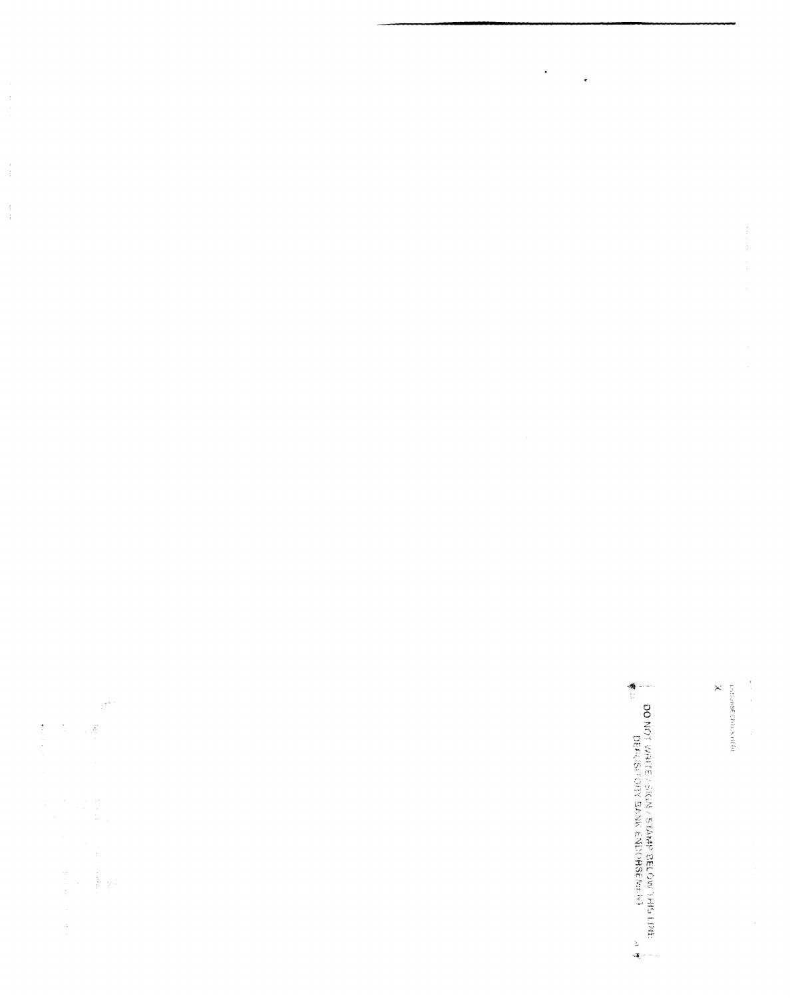$\begin{bmatrix} 1 & 1 \\ 1 & 1 \\ 1 & 1 \end{bmatrix}$  $\frac{1}{3}$ 

 $\hat{\boldsymbol{\gamma}}^{ab}$ 

 $\ddot{\phantom{0}}$ 

 $\ddot{\phantom{0}}$ 

**Martin** 

**Production Centryly among** 

 $\times$ 

**A** P<br> **ELONG WARE AND MAN BANNER DELOW THAT RALL BAND**<br> **A** P DEPARTE YSIGN RANDOBBEARD RAND RAND